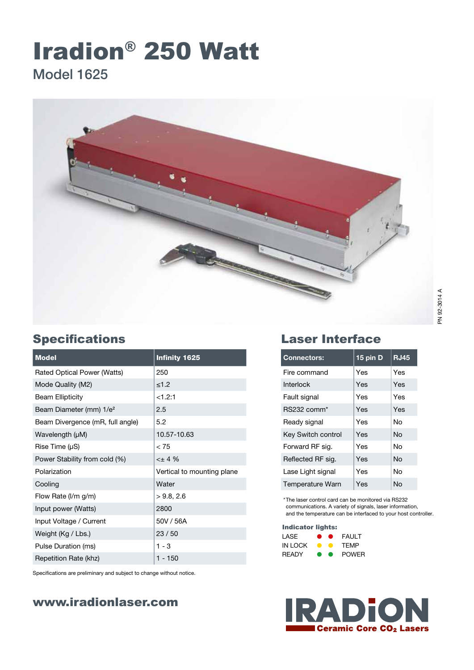# Iradion® 250 Watt Model 1625



| <b>Model</b>                        | <b>Infinity 1625</b>       |
|-------------------------------------|----------------------------|
| Rated Optical Power (Watts)         | 250                        |
| Mode Quality (M2)                   | $≤1.2$                     |
| <b>Beam Ellipticity</b>             | <1.2:1                     |
| Beam Diameter (mm) 1/e <sup>2</sup> | 2.5                        |
| Beam Divergence (mR, full angle)    | 5.2                        |
| Wavelength (µM)                     | 10.57-10.63                |
| Rise Time $(\mu S)$                 | < 75                       |
| Power Stability from cold (%)       | $< +4$ %                   |
| Polarization                        | Vertical to mounting plane |
| Cooling                             | Water                      |
| Flow Rate (I/m g/m)                 | >9.8, 2.6                  |
| Input power (Watts)                 | 2800                       |
| Input Voltage / Current             | 50V / 56A                  |
| Weight (Kg / Lbs.)                  | 23/50                      |
| Pulse Duration (ms)                 | $1 - 3$                    |
| Repetition Rate (khz)               | $1 - 150$                  |

Specifications are preliminary and subject to change without notice.

## www.iradionlaser.com

## Specifications Laser Interface

| <b>Connectors:</b>        | 15 pin D | <b>RJ45</b> |
|---------------------------|----------|-------------|
| Fire command              | Yes      | Yes         |
| Interlock                 | Yes      | Yes         |
| Fault signal              | Yes      | Yes         |
| RS232 comm <sup>*</sup>   | Yes      | Yes         |
| Ready signal              | Yes      | N٥          |
| <b>Key Switch control</b> | Yes      | N٥          |
| Forward RF sig.           | Yes      | Nο          |
| Reflected RF sig.         | Yes      | No          |
| Lase Light signal         | Yes      | N٥          |
| Temperature Warn          | Yes      | N٥          |

\*The laser control card can be monitored via RS232 communications. A variety of signals, laser information, and the temperature can be interfaced to your host controller.

#### Indicator lights:

| LASE         | $\bullet$ | FAULT        |
|--------------|-----------|--------------|
| IN LOCK      |           | TFMP         |
| <b>RFADY</b> | $\bullet$ | <b>POWFR</b> |